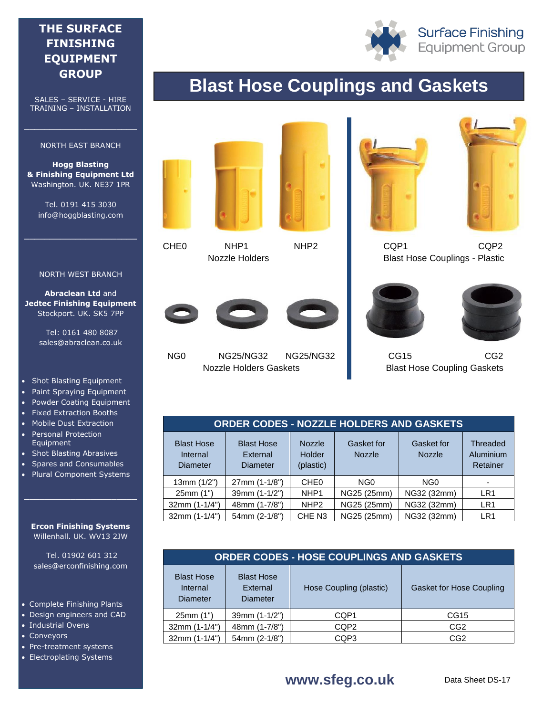### **THE SURFACE FINISHING EQUIPMENT GROUP**

SALES – SERVICE - HIRE TRAINING – INSTALLATION

#### NORTH EAST BRANCH

**\_\_\_\_\_\_\_\_\_\_\_\_\_\_\_\_\_\_\_\_\_\_**

**Hogg Blasting & Finishing Equipment Ltd** Washington. UK. NE37 1PR

Tel. 0191 415 3030 info@hoggblasting.com

**\_\_\_\_\_\_\_\_\_\_\_\_\_\_\_\_\_\_\_\_\_\_**

#### NORTH WEST BRANCH

**Abraclean Ltd** and **Jedtec Finishing Equipment** Stockport. UK. SK5 7PP

> Tel: 0161 480 8087 sales@abraclean.co.uk

- Shot Blasting Equipment
- Paint Spraying Equipment
- Powder Coating Equipment
- Fixed Extraction Booths
- Mobile Dust Extraction
- Personal Protection Equipment
- Shot Blasting Abrasives
- Spares and Consumables
- Plural Component Systems

#### **Ercon Finishing Systems** Willenhall. UK. WV13 2JW

**\_\_\_\_\_\_\_\_\_\_\_\_\_\_\_\_\_\_\_\_\_\_**

Tel. 01902 601 312 sales@erconfinishing.com

- Complete Finishing Plants
- Design engineers and CAD
- Industrial Ovens
- Conveyors
- Pre-treatment systems
- Electroplating Systems



**Surface Finishing Equipment Group** 

# **Blast Hose Couplings and Gaskets**







NG0 NG25/NG32 NG25/NG32 Nozzle Holders Gaskets





 CQP1 CQP2 Blast Hose Couplings - Plastic





 CG15 CG2 Blast Hose Coupling Gaskets

| <b>ORDER CODES - NOZZLE HOLDERS AND GASKETS</b>  |                                                  |                                      |                             |                             |                                   |  |  |
|--------------------------------------------------|--------------------------------------------------|--------------------------------------|-----------------------------|-----------------------------|-----------------------------------|--|--|
| <b>Blast Hose</b><br>Internal<br><b>Diameter</b> | <b>Blast Hose</b><br>External<br><b>Diameter</b> | <b>Nozzle</b><br>Holder<br>(plastic) | Gasket for<br><b>Nozzle</b> | Gasket for<br><b>Nozzle</b> | Threaded<br>Aluminium<br>Retainer |  |  |
| 13mm (1/2")                                      | 27mm (1-1/8")                                    | CHE <sub>0</sub>                     | NG <sub>0</sub>             | NG <sub>0</sub>             |                                   |  |  |
| 25mm (1")                                        | 39mm (1-1/2")                                    | NHP <sub>1</sub>                     | NG25 (25mm)                 | NG32 (32mm)                 | LR <sub>1</sub>                   |  |  |
| $32mm (1-1/4")$                                  | 48mm (1-7/8")                                    | NHP <sub>2</sub>                     | NG25 (25mm)                 | NG32 (32mm)                 | LR <sub>1</sub>                   |  |  |
| $32mm(1-1/4")$                                   | 54mm (2-1/8")                                    | CHE N <sub>3</sub>                   | NG25 (25mm)                 | NG32 (32mm)                 | LR <sub>1</sub>                   |  |  |

| <b>ORDER CODES - HOSE COUPLINGS AND GASKETS</b> |                                                  |                         |                                 |  |  |
|-------------------------------------------------|--------------------------------------------------|-------------------------|---------------------------------|--|--|
| <b>Blast Hose</b><br>Internal<br>Diameter       | <b>Blast Hose</b><br>External<br><b>Diameter</b> | Hose Coupling (plastic) | <b>Gasket for Hose Coupling</b> |  |  |
| 25mm(1")                                        | 39mm (1-1/2")                                    | CQP1                    | CG15                            |  |  |
| $32mm (1-1/4")$                                 | 48mm (1-7/8")                                    | CQP <sub>2</sub>        | CG <sub>2</sub>                 |  |  |
| $32mm(1-1/4")$                                  | 54mm (2-1/8")                                    | CQP3                    | CG <sub>2</sub>                 |  |  |

### **www.sfeg.co.uk**